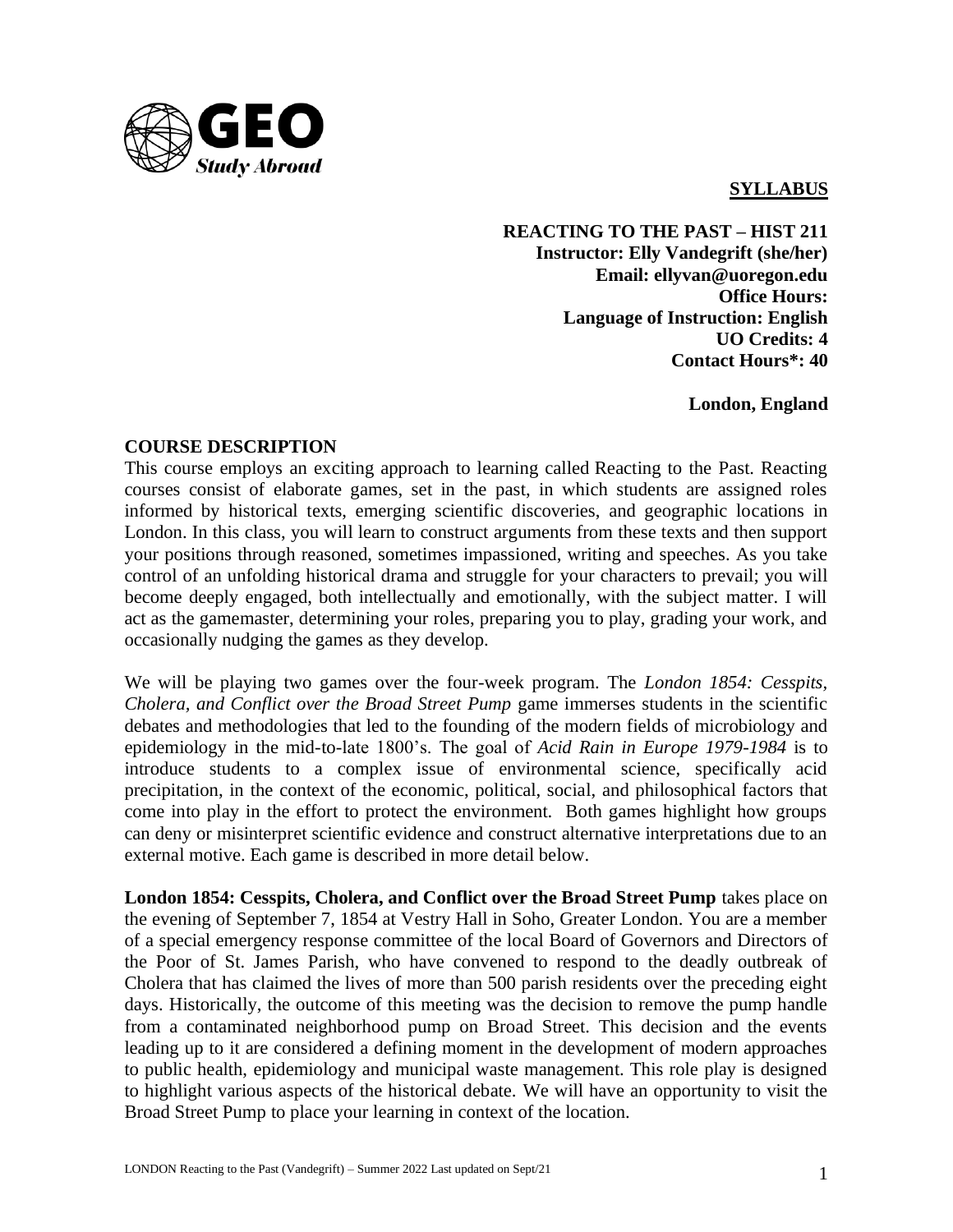

## **SYLLABUS**

**REACTING TO THE PAST – HIST 211 Instructor: Elly Vandegrift (she/her) Email: ellyvan@uoregon.edu Office Hours: Language of Instruction: English UO Credits: 4 Contact Hours\*: 40**

**London, England**

#### **COURSE DESCRIPTION**

This course employs an exciting approach to learning called Reacting to the Past. Reacting courses consist of elaborate games, set in the past, in which students are assigned roles informed by historical texts, emerging scientific discoveries, and geographic locations in London. In this class, you will learn to construct arguments from these texts and then support your positions through reasoned, sometimes impassioned, writing and speeches. As you take control of an unfolding historical drama and struggle for your characters to prevail; you will become deeply engaged, both intellectually and emotionally, with the subject matter. I will act as the gamemaster, determining your roles, preparing you to play, grading your work, and occasionally nudging the games as they develop.

We will be playing two games over the four-week program. The *London 1854: Cesspits, Cholera, and Conflict over the Broad Street Pump* game immerses students in the scientific debates and methodologies that led to the founding of the modern fields of microbiology and epidemiology in the mid-to-late 1800's. The goal of *Acid Rain in Europe 1979-1984* is to introduce students to a complex issue of environmental science, specifically acid precipitation, in the context of the economic, political, social, and philosophical factors that come into play in the effort to protect the environment. Both games highlight how groups can deny or misinterpret scientific evidence and construct alternative interpretations due to an external motive. Each game is described in more detail below.

**London 1854: Cesspits, Cholera, and Conflict over the Broad Street Pump** takes place on the evening of September 7, 1854 at Vestry Hall in Soho, Greater London. You are a member of a special emergency response committee of the local Board of Governors and Directors of the Poor of St. James Parish, who have convened to respond to the deadly outbreak of Cholera that has claimed the lives of more than 500 parish residents over the preceding eight days. Historically, the outcome of this meeting was the decision to remove the pump handle from a contaminated neighborhood pump on Broad Street. This decision and the events leading up to it are considered a defining moment in the development of modern approaches to public health, epidemiology and municipal waste management. This role play is designed to highlight various aspects of the historical debate. We will have an opportunity to visit the Broad Street Pump to place your learning in context of the location.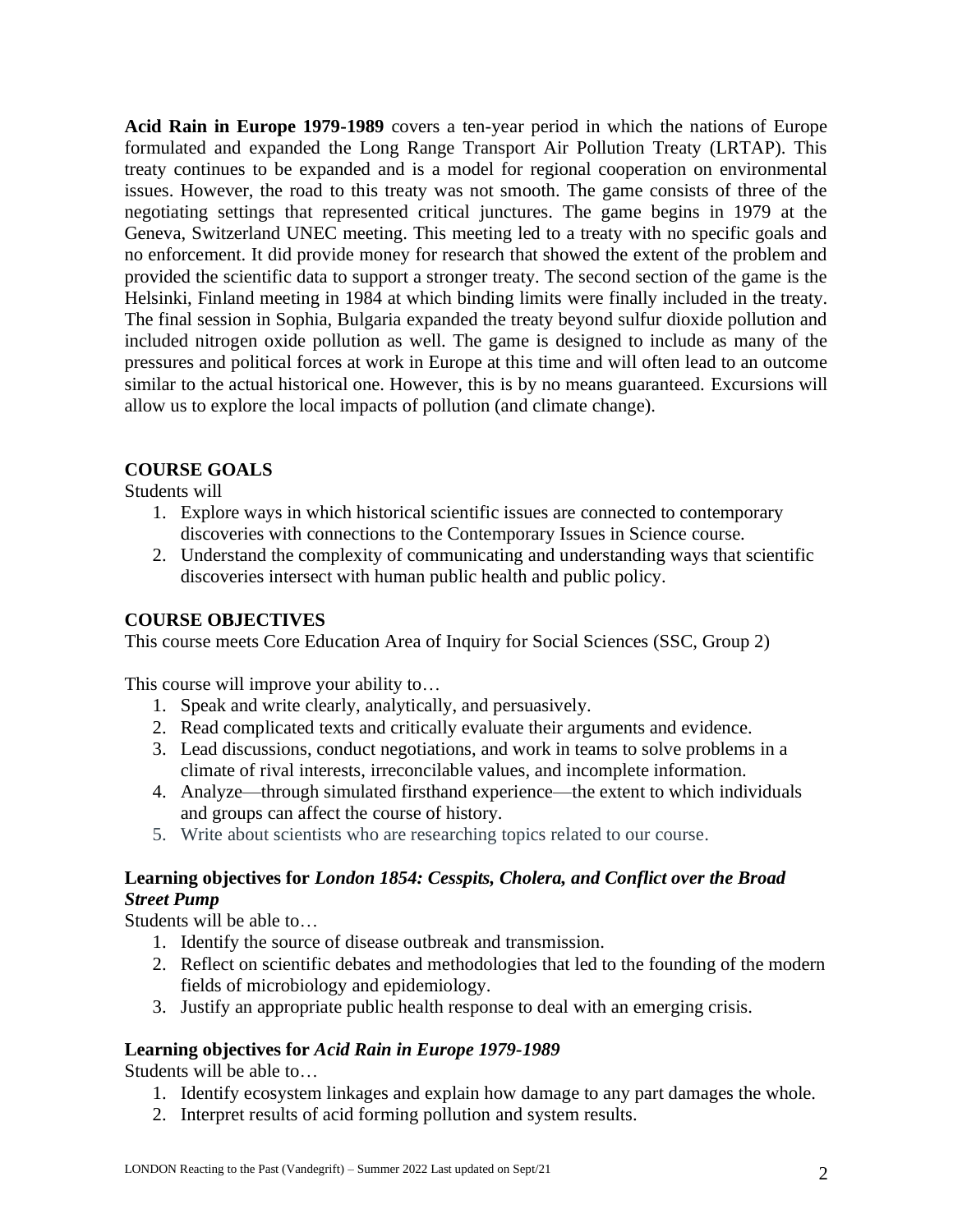**Acid Rain in Europe 1979-1989** covers a ten-year period in which the nations of Europe formulated and expanded the Long Range Transport Air Pollution Treaty (LRTAP). This treaty continues to be expanded and is a model for regional cooperation on environmental issues. However, the road to this treaty was not smooth. The game consists of three of the negotiating settings that represented critical junctures. The game begins in 1979 at the Geneva, Switzerland UNEC meeting. This meeting led to a treaty with no specific goals and no enforcement. It did provide money for research that showed the extent of the problem and provided the scientific data to support a stronger treaty. The second section of the game is the Helsinki, Finland meeting in 1984 at which binding limits were finally included in the treaty. The final session in Sophia, Bulgaria expanded the treaty beyond sulfur dioxide pollution and included nitrogen oxide pollution as well. The game is designed to include as many of the pressures and political forces at work in Europe at this time and will often lead to an outcome similar to the actual historical one. However, this is by no means guaranteed. Excursions will allow us to explore the local impacts of pollution (and climate change).

# **COURSE GOALS**

Students will

- 1. Explore ways in which historical scientific issues are connected to contemporary discoveries with connections to the Contemporary Issues in Science course.
- 2. Understand the complexity of communicating and understanding ways that scientific discoveries intersect with human public health and public policy.

## **COURSE OBJECTIVES**

This course meets Core Education Area of Inquiry for Social Sciences (SSC, Group 2)

This course will improve your ability to…

- 1. Speak and write clearly, analytically, and persuasively.
- 2. Read complicated texts and critically evaluate their arguments and evidence.
- 3. Lead discussions, conduct negotiations, and work in teams to solve problems in a climate of rival interests, irreconcilable values, and incomplete information.
- 4. Analyze—through simulated firsthand experience—the extent to which individuals and groups can affect the course of history.
- 5. Write about scientists who are researching topics related to our course.

### **Learning objectives for** *London 1854: Cesspits, Cholera, and Conflict over the Broad Street Pump*

Students will be able to…

- 1. Identify the source of disease outbreak and transmission.
- 2. Reflect on scientific debates and methodologies that led to the founding of the modern fields of microbiology and epidemiology.
- 3. Justify an appropriate public health response to deal with an emerging crisis.

### **Learning objectives for** *Acid Rain in Europe 1979-1989*

Students will be able to…

- 1. Identify ecosystem linkages and explain how damage to any part damages the whole.
- 2. Interpret results of acid forming pollution and system results.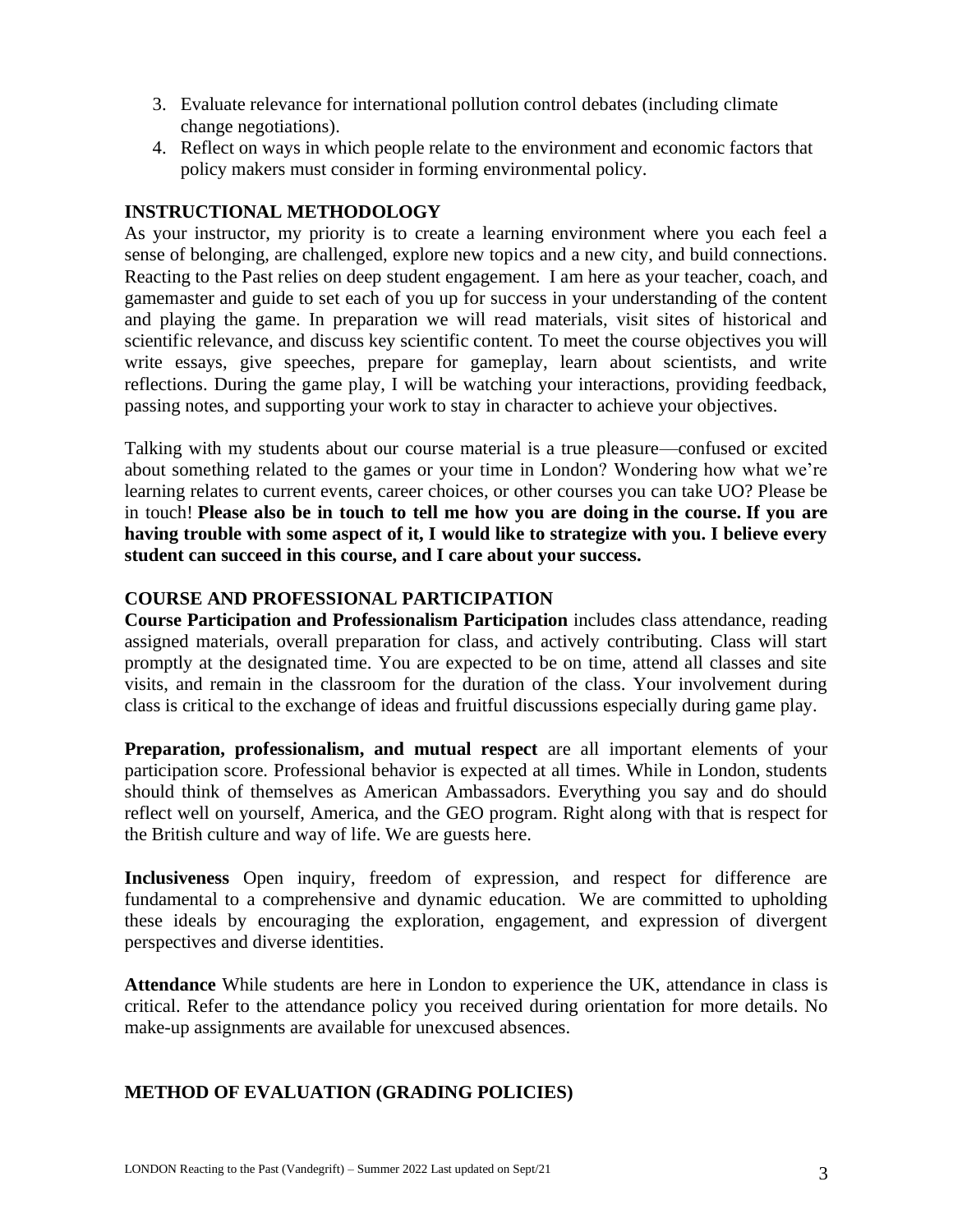- 3. Evaluate relevance for international pollution control debates (including climate change negotiations).
- 4. Reflect on ways in which people relate to the environment and economic factors that policy makers must consider in forming environmental policy.

## **INSTRUCTIONAL METHODOLOGY**

As your instructor, my priority is to create a learning environment where you each feel a sense of belonging, are challenged, explore new topics and a new city, and build connections. Reacting to the Past relies on deep student engagement. I am here as your teacher, coach, and gamemaster and guide to set each of you up for success in your understanding of the content and playing the game. In preparation we will read materials, visit sites of historical and scientific relevance, and discuss key scientific content. To meet the course objectives you will write essays, give speeches, prepare for gameplay, learn about scientists, and write reflections. During the game play, I will be watching your interactions, providing feedback, passing notes, and supporting your work to stay in character to achieve your objectives.

Talking with my students about our course material is a true pleasure—confused or excited about something related to the games or your time in London? Wondering how what we're learning relates to current events, career choices, or other courses you can take UO? Please be in touch! **Please also be in touch to tell me how you are doing in the course. If you are having trouble with some aspect of it, I would like to strategize with you. I believe every student can succeed in this course, and I care about your success.** 

### **COURSE AND PROFESSIONAL PARTICIPATION**

**Course Participation and Professionalism Participation** includes class attendance, reading assigned materials, overall preparation for class, and actively contributing. Class will start promptly at the designated time. You are expected to be on time, attend all classes and site visits, and remain in the classroom for the duration of the class. Your involvement during class is critical to the exchange of ideas and fruitful discussions especially during game play.

**Preparation, professionalism, and mutual respect** are all important elements of your participation score. Professional behavior is expected at all times. While in London, students should think of themselves as American Ambassadors. Everything you say and do should reflect well on yourself, America, and the GEO program. Right along with that is respect for the British culture and way of life. We are guests here.

**Inclusiveness** Open inquiry, freedom of expression, and respect for difference are fundamental to a comprehensive and dynamic education. We are committed to upholding these ideals by encouraging the exploration, engagement, and expression of divergent perspectives and diverse identities.

**Attendance** While students are here in London to experience the UK, attendance in class is critical. Refer to the attendance policy you received during orientation for more details. No make-up assignments are available for unexcused absences.

## **METHOD OF EVALUATION (GRADING POLICIES)**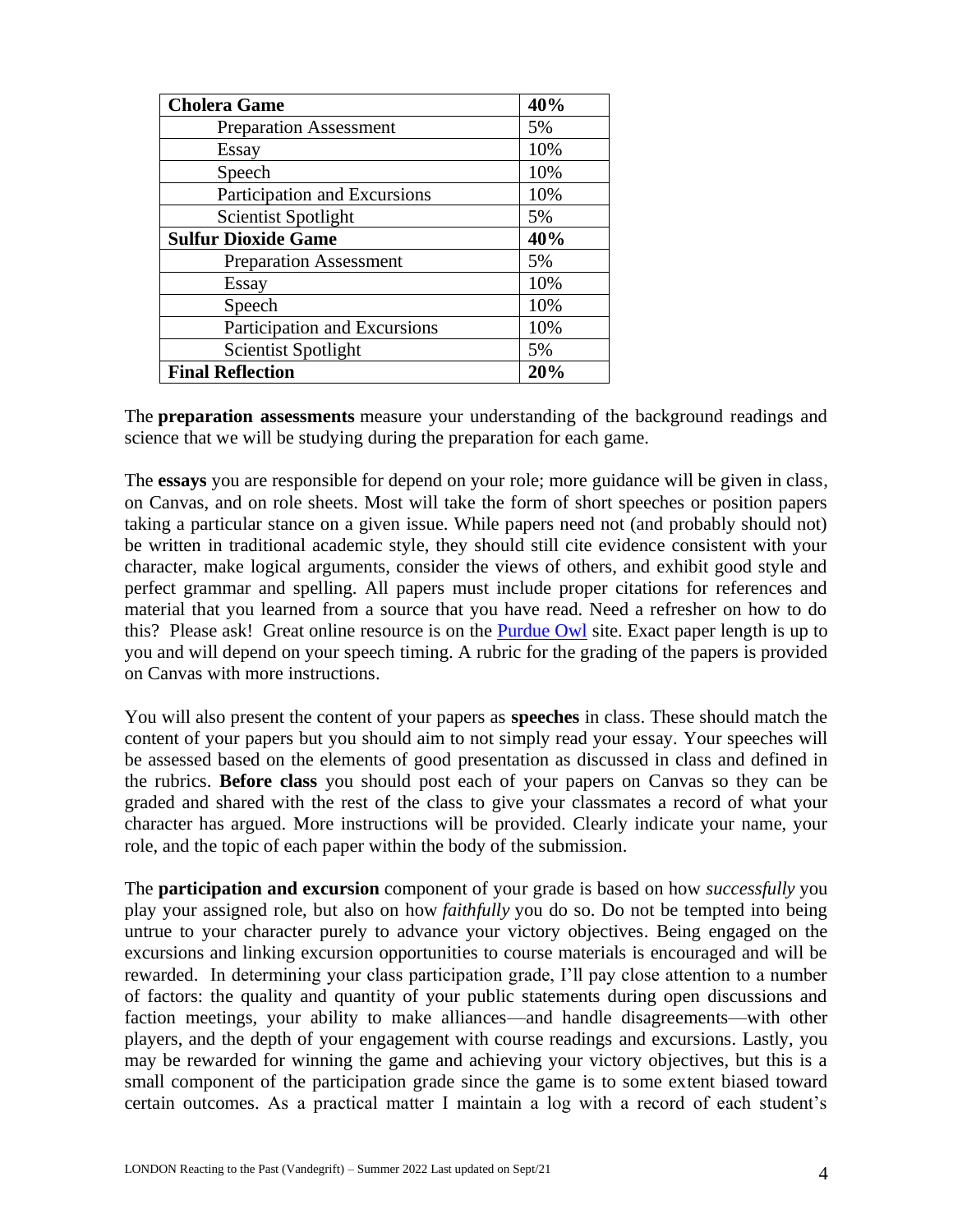| <b>Cholera Game</b>           | 40% |
|-------------------------------|-----|
| <b>Preparation Assessment</b> | 5%  |
| <b>Essay</b>                  | 10% |
| Speech                        | 10% |
| Participation and Excursions  | 10% |
| <b>Scientist Spotlight</b>    | 5%  |
| <b>Sulfur Dioxide Game</b>    | 40% |
| <b>Preparation Assessment</b> | 5%  |
| Essay                         | 10% |
| Speech                        | 10% |
| Participation and Excursions  | 10% |
| <b>Scientist Spotlight</b>    | 5%  |
| <b>Final Reflection</b>       | 20% |

The **preparation assessments** measure your understanding of the background readings and science that we will be studying during the preparation for each game.

The **essays** you are responsible for depend on your role; more guidance will be given in class, on Canvas, and on role sheets. Most will take the form of short speeches or position papers taking a particular stance on a given issue. While papers need not (and probably should not) be written in traditional academic style, they should still cite evidence consistent with your character, make logical arguments, consider the views of others, and exhibit good style and perfect grammar and spelling. All papers must include proper citations for references and material that you learned from a source that you have read. Need a refresher on how to do this? Please ask! Great online resource is on the [Purdue Owl](https://owl.purdue.edu/) site. Exact paper length is up to you and will depend on your speech timing. A rubric for the grading of the papers is provided on Canvas with more instructions.

You will also present the content of your papers as **speeches** in class. These should match the content of your papers but you should aim to not simply read your essay. Your speeches will be assessed based on the elements of good presentation as discussed in class and defined in the rubrics. **Before class** you should post each of your papers on Canvas so they can be graded and shared with the rest of the class to give your classmates a record of what your character has argued. More instructions will be provided. Clearly indicate your name, your role, and the topic of each paper within the body of the submission.

The **participation and excursion** component of your grade is based on how *successfully* you play your assigned role, but also on how *faithfully* you do so. Do not be tempted into being untrue to your character purely to advance your victory objectives. Being engaged on the excursions and linking excursion opportunities to course materials is encouraged and will be rewarded. In determining your class participation grade, I'll pay close attention to a number of factors: the quality and quantity of your public statements during open discussions and faction meetings, your ability to make alliances—and handle disagreements—with other players, and the depth of your engagement with course readings and excursions. Lastly, you may be rewarded for winning the game and achieving your victory objectives, but this is a small component of the participation grade since the game is to some extent biased toward certain outcomes. As a practical matter I maintain a log with a record of each student's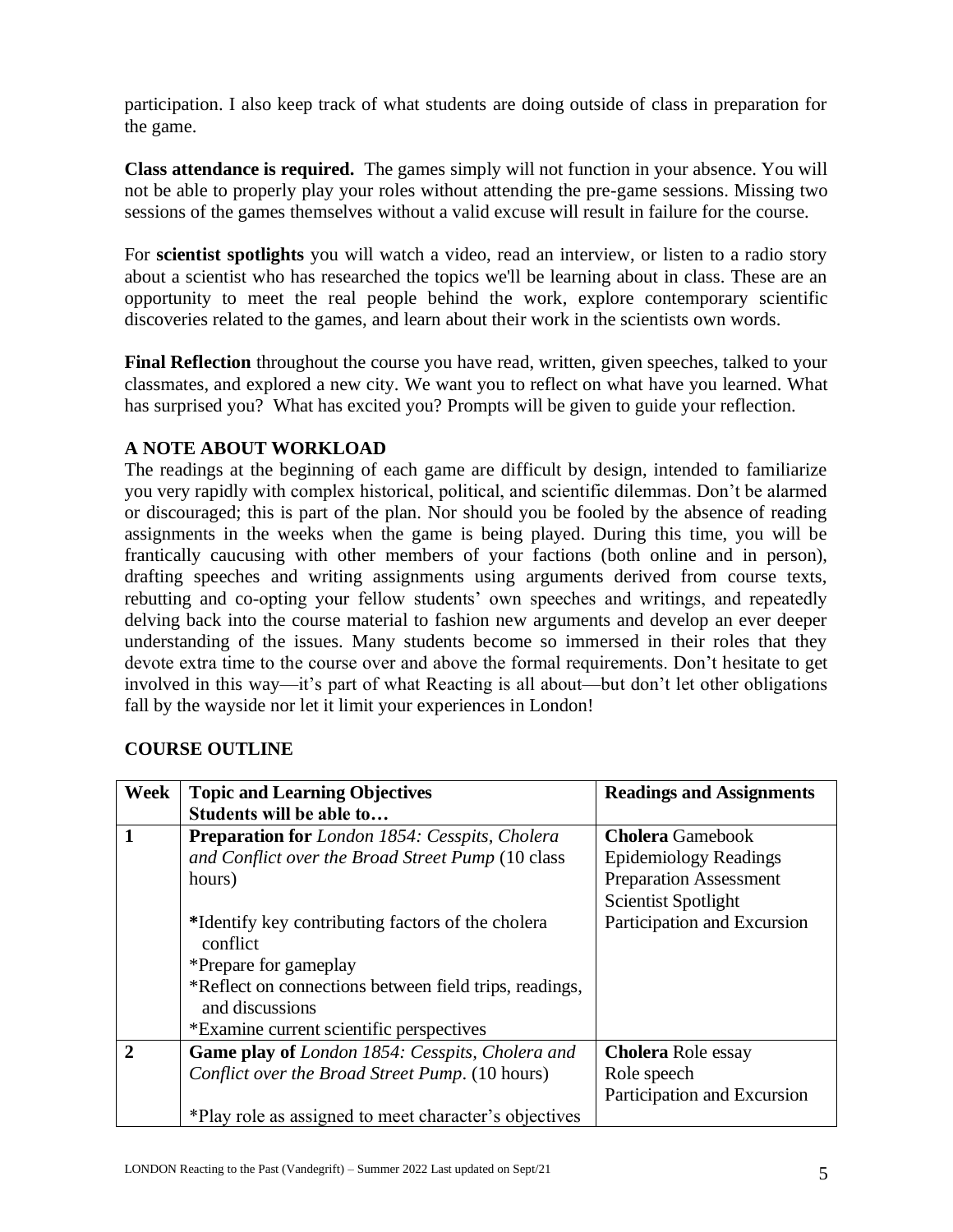participation. I also keep track of what students are doing outside of class in preparation for the game.

**Class attendance is required.** The games simply will not function in your absence. You will not be able to properly play your roles without attending the pre-game sessions. Missing two sessions of the games themselves without a valid excuse will result in failure for the course.

For **scientist spotlights** you will watch a video, read an interview, or listen to a radio story about a scientist who has researched the topics we'll be learning about in class. These are an opportunity to meet the real people behind the work, explore contemporary scientific discoveries related to the games, and learn about their work in the scientists own words.

**Final Reflection** throughout the course you have read, written, given speeches, talked to your classmates, and explored a new city. We want you to reflect on what have you learned. What has surprised you? What has excited you? Prompts will be given to guide your reflection.

### **A NOTE ABOUT WORKLOAD**

The readings at the beginning of each game are difficult by design, intended to familiarize you very rapidly with complex historical, political, and scientific dilemmas. Don't be alarmed or discouraged; this is part of the plan. Nor should you be fooled by the absence of reading assignments in the weeks when the game is being played. During this time, you will be frantically caucusing with other members of your factions (both online and in person), drafting speeches and writing assignments using arguments derived from course texts, rebutting and co-opting your fellow students' own speeches and writings, and repeatedly delving back into the course material to fashion new arguments and develop an ever deeper understanding of the issues. Many students become so immersed in their roles that they devote extra time to the course over and above the formal requirements. Don't hesitate to get involved in this way—it's part of what Reacting is all about—but don't let other obligations fall by the wayside nor let it limit your experiences in London!

### **COURSE OUTLINE**

| Week         | <b>Topic and Learning Objectives</b>                                      | <b>Readings and Assignments</b> |
|--------------|---------------------------------------------------------------------------|---------------------------------|
|              | Students will be able to                                                  |                                 |
| $\mathbf{1}$ | <b>Preparation for London 1854: Cesspits, Cholera</b>                     | <b>Cholera</b> Gamebook         |
|              | and Conflict over the Broad Street Pump (10 class                         | <b>Epidemiology Readings</b>    |
|              | hours)                                                                    | <b>Preparation Assessment</b>   |
|              |                                                                           | <b>Scientist Spotlight</b>      |
|              | *Identify key contributing factors of the cholera<br>conflict             | Participation and Excursion     |
|              | *Prepare for gameplay                                                     |                                 |
|              | *Reflect on connections between field trips, readings,<br>and discussions |                                 |
|              | *Examine current scientific perspectives                                  |                                 |
| $\mathbf{2}$ | <b>Game play of London 1854: Cesspits, Cholera and</b>                    | <b>Cholera Role essay</b>       |
|              | Conflict over the Broad Street Pump. (10 hours)                           | Role speech                     |
|              |                                                                           | Participation and Excursion     |
|              | *Play role as assigned to meet character's objectives                     |                                 |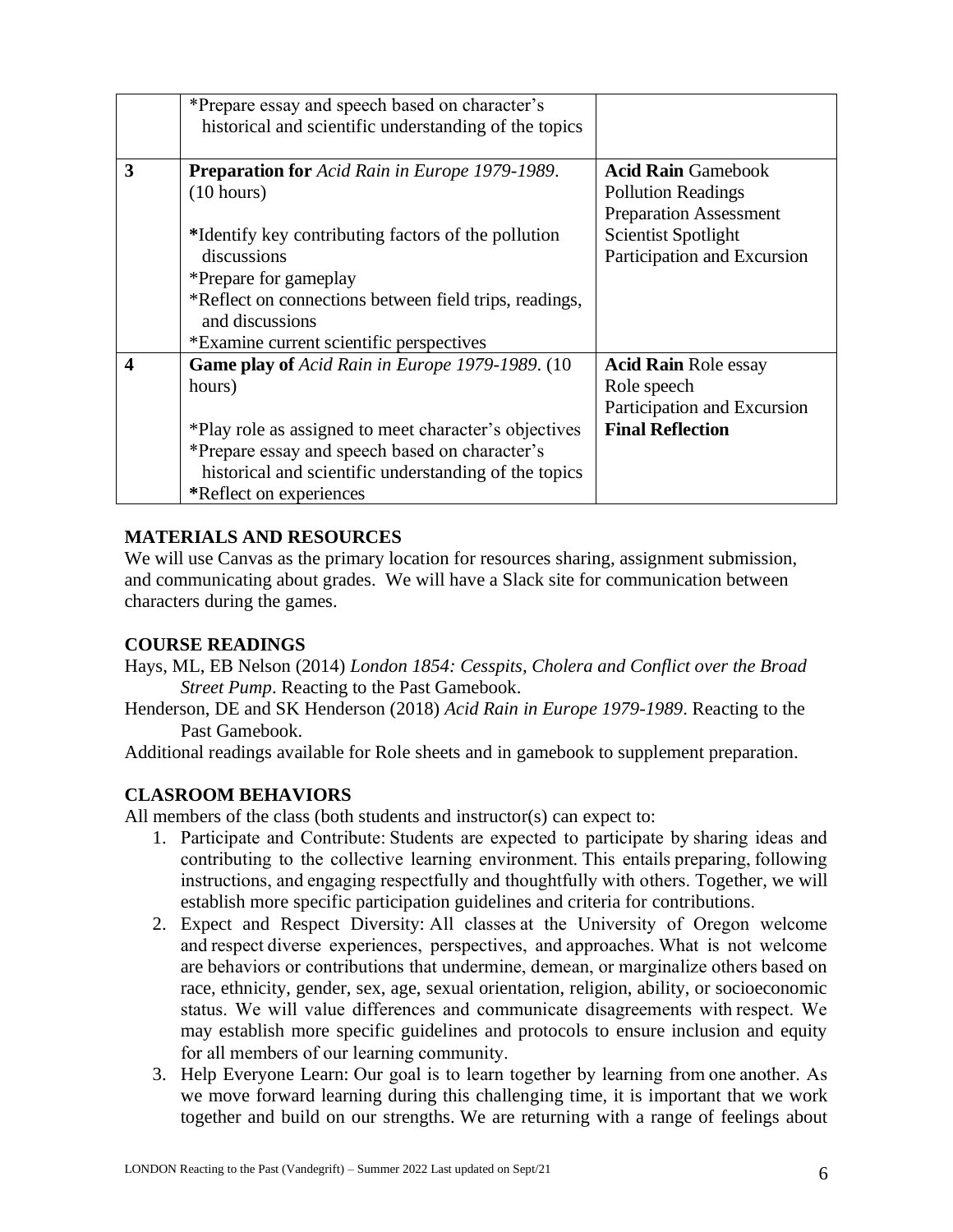|   | *Prepare essay and speech based on character's<br>historical and scientific understanding of the topics                                                                                                                                                                                     |                                                                                                                                                      |
|---|---------------------------------------------------------------------------------------------------------------------------------------------------------------------------------------------------------------------------------------------------------------------------------------------|------------------------------------------------------------------------------------------------------------------------------------------------------|
| 3 | <b>Preparation for Acid Rain in Europe 1979-1989.</b><br>(10 hours)<br>*Identify key contributing factors of the pollution<br>discussions<br>*Prepare for gameplay<br>*Reflect on connections between field trips, readings,<br>and discussions<br>*Examine current scientific perspectives | <b>Acid Rain Gamebook</b><br><b>Pollution Readings</b><br><b>Preparation Assessment</b><br><b>Scientist Spotlight</b><br>Participation and Excursion |
| 4 | <b>Game play of Acid Rain in Europe 1979-1989. (10)</b><br>hours)<br>*Play role as assigned to meet character's objectives<br>*Prepare essay and speech based on character's<br>historical and scientific understanding of the topics<br>*Reflect on experiences                            | <b>Acid Rain Role essay</b><br>Role speech<br>Participation and Excursion<br><b>Final Reflection</b>                                                 |

### **MATERIALS AND RESOURCES**

We will use Canvas as the primary location for resources sharing, assignment submission, and communicating about grades. We will have a Slack site for communication between characters during the games.

### **COURSE READINGS**

- Hays, ML, EB Nelson (2014) *London 1854: Cesspits, Cholera and Conflict over the Broad Street Pump*. Reacting to the Past Gamebook.
- Henderson, DE and SK Henderson (2018) *Acid Rain in Europe 1979-1989*. Reacting to the Past Gamebook.

Additional readings available for Role sheets and in gamebook to supplement preparation.

### **CLASROOM BEHAVIORS**

All members of the class (both students and instructor(s) can expect to:

- 1. Participate and Contribute: Students are expected to participate by sharing ideas and contributing to the collective learning environment. This entails preparing, following instructions, and engaging respectfully and thoughtfully with others. Together, we will establish more specific participation guidelines and criteria for contributions.
- 2. Expect and Respect Diversity: All classes at the University of Oregon welcome and respect diverse experiences, perspectives, and approaches. What is not welcome are behaviors or contributions that undermine, demean, or marginalize others based on race, ethnicity, gender, sex, age, sexual orientation, religion, ability, or socioeconomic status. We will value differences and communicate disagreements with respect. We may establish more specific guidelines and protocols to ensure inclusion and equity for all members of our learning community.
- 3. Help Everyone Learn: Our goal is to learn together by learning from one another. As we move forward learning during this challenging time, it is important that we work together and build on our strengths. We are returning with a range of feelings about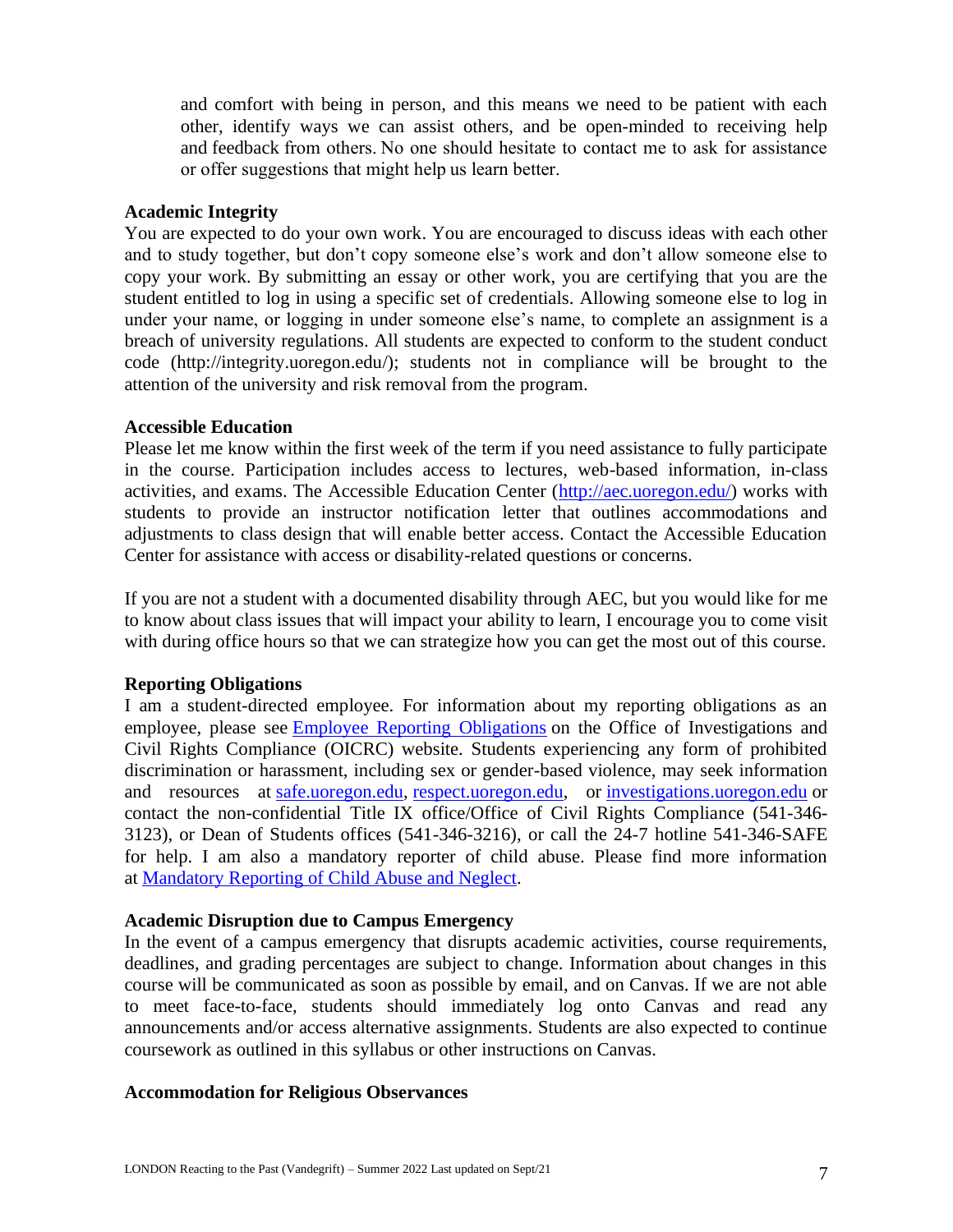and comfort with being in person, and this means we need to be patient with each other, identify ways we can assist others, and be open-minded to receiving help and feedback from others. No one should hesitate to contact me to ask for assistance or offer suggestions that might help us learn better.   

#### **Academic Integrity**

You are expected to do your own work. You are encouraged to discuss ideas with each other and to study together, but don't copy someone else's work and don't allow someone else to copy your work. By submitting an essay or other work, you are certifying that you are the student entitled to log in using a specific set of credentials. Allowing someone else to log in under your name, or logging in under someone else's name, to complete an assignment is a breach of university regulations. All students are expected to conform to the student conduct code (http://integrity.uoregon.edu/); students not in compliance will be brought to the attention of the university and risk removal from the program.

#### **Accessible Education**

Please let me know within the first week of the term if you need assistance to fully participate in the course. Participation includes access to lectures, web-based information, in-class activities, and exams. The Accessible Education Center [\(http://aec.uoregon.edu/\)](http://aec.uoregon.edu/) works with students to provide an instructor notification letter that outlines accommodations and adjustments to class design that will enable better access. Contact the Accessible Education Center for assistance with access or disability-related questions or concerns.

If you are not a student with a documented disability through AEC, but you would like for me to know about class issues that will impact your ability to learn, I encourage you to come visit with during office hours so that we can strategize how you can get the most out of this course.

### **Reporting Obligations**

I am a student-directed employee. For information about my reporting obligations as an employee, please see [Employee Reporting Obligations](https://investigations.uoregon.edu/employee-responsibilities#employee-obligations) on the Office of Investigations and Civil Rights Compliance (OICRC) website. Students experiencing any form of prohibited discrimination or harassment, including sex or gender-based violence, may seek information and resources at [safe.uoregon.edu,](http://safe.uoregon.edu/) [respect.uoregon.edu,](https://respect.uoregon.edu/) or [investigations.uoregon.edu](https://investigations.uoregon.edu/) or contact the non-confidential Title IX office/Office of Civil Rights Compliance (541-346- 3123), or Dean of Students offices (541-346-3216), or call the 24-7 hotline 541-346-SAFE for help. I am also a mandatory reporter of child abuse. Please find more information at [Mandatory Reporting of Child Abuse and Neglect.](https://hr.uoregon.edu/policies-leaves/general-information/mandatory-reporting-child-abuse-and-neglect)

### **Academic Disruption due to Campus Emergency**

In the event of a campus emergency that disrupts academic activities, course requirements, deadlines, and grading percentages are subject to change. Information about changes in this course will be communicated as soon as possible by email, and on Canvas. If we are not able to meet face-to-face, students should immediately log onto Canvas and read any announcements and/or access alternative assignments. Students are also expected to continue coursework as outlined in this syllabus or other instructions on Canvas.

### **Accommodation for Religious Observances**